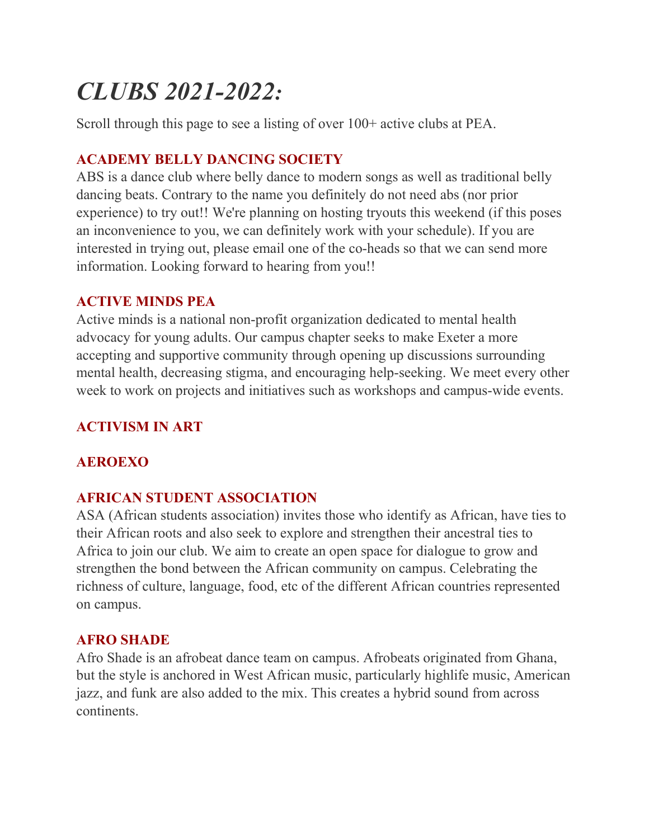# *CLUBS 2021-2022:*

Scroll through this page to see a listing of over 100+ active clubs at PEA.

# **ACADEMY BELLY DANCING SOCIETY**

ABS is a dance club where belly dance to modern songs as well as traditional belly dancing beats. Contrary to the name you definitely do not need abs (nor prior experience) to try out!! We're planning on hosting tryouts this weekend (if this poses an inconvenience to you, we can definitely work with your schedule). If you are interested in trying out, please email one of the co-heads so that we can send more information. Looking forward to hearing from you!!

# **ACTIVE MINDS PEA**

Active minds is a national non-profit organization dedicated to mental health advocacy for young adults. Our campus chapter seeks to make Exeter a more accepting and supportive community through opening up discussions surrounding mental health, decreasing stigma, and encouraging help-seeking. We meet every other week to work on projects and initiatives such as workshops and campus-wide events.

# **ACTIVISM IN ART**

# **AEROEXO**

# **AFRICAN STUDENT ASSOCIATION**

ASA (African students association) invites those who identify as African, have ties to their African roots and also seek to explore and strengthen their ancestral ties to Africa to join our club. We aim to create an open space for dialogue to grow and strengthen the bond between the African community on campus. Celebrating the richness of culture, language, food, etc of the different African countries represented on campus.

# **AFRO SHADE**

Afro Shade is an afrobeat dance team on campus. Afrobeats originated from Ghana, but the style is anchored in West African music, particularly highlife music, American jazz, and funk are also added to the mix. This creates a hybrid sound from across continents.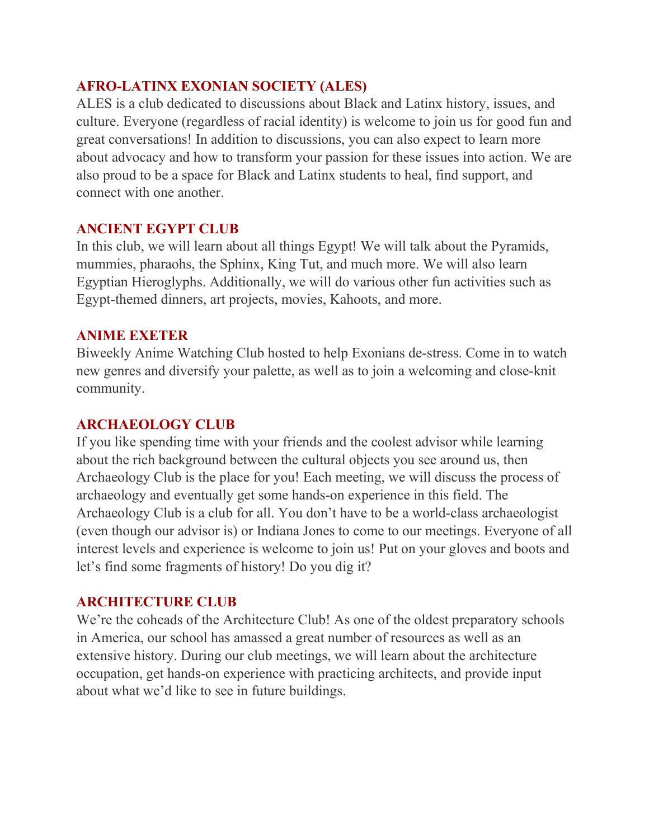# **AFRO-LATINX EXONIAN SOCIETY (ALES)**

ALES is a club dedicated to discussions about Black and Latinx history, issues, and culture. Everyone (regardless of racial identity) is welcome to join us for good fun and great conversations! In addition to discussions, you can also expect to learn more about advocacy and how to transform your passion for these issues into action. We are also proud to be a space for Black and Latinx students to heal, find support, and connect with one another.

## **ANCIENT EGYPT CLUB**

In this club, we will learn about all things Egypt! We will talk about the Pyramids, mummies, pharaohs, the Sphinx, King Tut, and much more. We will also learn Egyptian Hieroglyphs. Additionally, we will do various other fun activities such as Egypt-themed dinners, art projects, movies, Kahoots, and more.

## **ANIME EXETER**

Biweekly Anime Watching Club hosted to help Exonians de-stress. Come in to watch new genres and diversify your palette, as well as to join a welcoming and close-knit community.

## **ARCHAEOLOGY CLUB**

If you like spending time with your friends and the coolest advisor while learning about the rich background between the cultural objects you see around us, then Archaeology Club is the place for you! Each meeting, we will discuss the process of archaeology and eventually get some hands-on experience in this field. The Archaeology Club is a club for all. You don't have to be a world-class archaeologist (even though our advisor is) or Indiana Jones to come to our meetings. Everyone of all interest levels and experience is welcome to join us! Put on your gloves and boots and let's find some fragments of history! Do you dig it?

## **ARCHITECTURE CLUB**

We're the coheads of the Architecture Club! As one of the oldest preparatory schools in America, our school has amassed a great number of resources as well as an extensive history. During our club meetings, we will learn about the architecture occupation, get hands-on experience with practicing architects, and provide input about what we'd like to see in future buildings.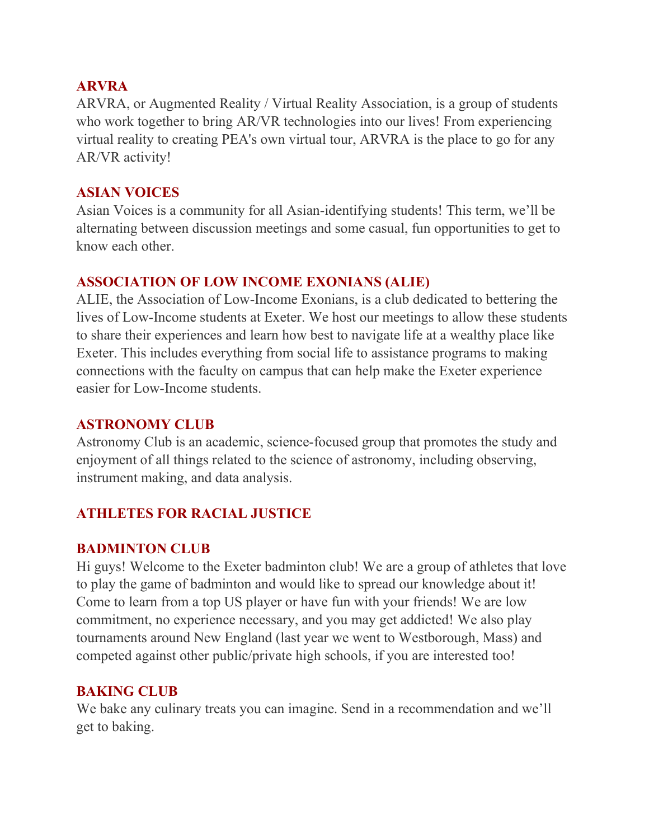#### **[ARVRA](https://www.dropbox.com/s/2c77ivdh7yvs9nz/Andrew%20Woo%20-%20ARVRA.mov?dl=0)**

ARVRA, or Augmented Reality / Virtual Reality Association, is a group of students who work together to bring AR/VR technologies into our lives! From experiencing virtual reality to creating PEA's own virtual tour, ARVRA is the place to go for any AR/VR activity!  

## **ASIAN VOICES**

Asian Voices is a community for all Asian-identifying students! This term, we'll be alternating between discussion meetings and some casual, fun opportunities to get to know each other.

# **ASSOCIATION OF LOW INCOME EXONIANS (ALIE)**

ALIE, the Association of Low-Income Exonians, is a club dedicated to bettering the lives of Low-Income students at Exeter. We host our meetings to allow these students to share their experiences and learn how best to navigate life at a wealthy place like Exeter. This includes everything from social life to assistance programs to making connections with the faculty on campus that can help make the Exeter experience easier for Low-Income students.

# **ASTRONOMY CLUB**

Astronomy Club is an academic, science-focused group that promotes the study and enjoyment of all things related to the science of astronomy, including observing, instrument making, and data analysis. 

# **ATHLETES FOR RACIAL JUSTICE**

# **BADMINTON CLUB**

Hi guys! Welcome to the Exeter badminton club! We are a group of athletes that love to play the game of badminton and would like to spread our knowledge about it! Come to learn from a top US player or have fun with your friends! We are low commitment, no experience necessary, and you may get addicted! We also play tournaments around New England (last year we went to Westborough, Mass) and competed against other public/private high schools, if you are interested too!

# **BAKING CLUB**

We bake any culinary treats you can imagine. Send in a recommendation and we'll get to baking.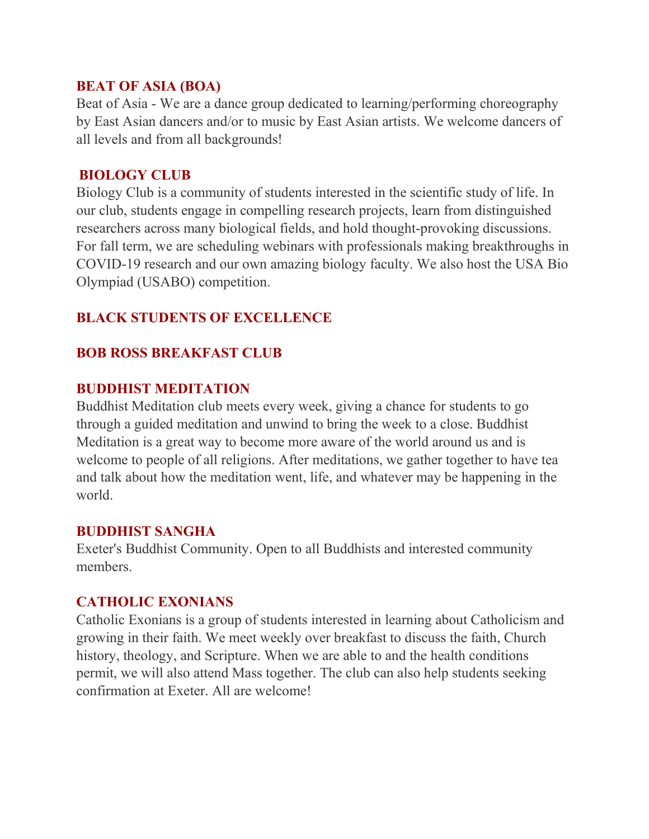#### **BEAT OF ASIA (BOA)**

Beat of Asia - We are a dance group dedicated to learning/performing choreography by East Asian dancers and/or to music by East Asian artists. We welcome dancers of all levels and from all backgrounds!

#### **[BIOLOGY CLUB](https://www.dropbox.com/s/70gdu2pqg5om2vc/Neha%20Nedumaran%20-%20Exeter%20Biology%20Club%202021-2022%20Infomercial.mp4?dl=0)**

Biology Club is a community of students interested in the scientific study of life. In our club, students engage in compelling research projects, learn from distinguished researchers across many biological fields, and hold thought-provoking discussions. For fall term, we are scheduling webinars with professionals making breakthroughs in COVID-19 research and our own amazing biology faculty. We also host the USA Bio Olympiad (USABO) competition.

# **BLACK STUDENTS OF EXCELLENCE**

# **BOB ROSS BREAKFAST CLUB**

# **BUDDHIST MEDITATION**

Buddhist Meditation club meets every week, giving a chance for students to go through a guided meditation and unwind to bring the week to a close. Buddhist Meditation is a great way to become more aware of the world around us and is welcome to people of all religions. After meditations, we gather together to have tea and talk about how the meditation went, life, and whatever may be happening in the world.

## **BUDDHIST SANGHA**

Exeter's Buddhist Community. Open to all Buddhists and interested community members.

## **CATHOLIC EXONIANS**

Catholic Exonians is a group of students interested in learning about Catholicism and growing in their faith. We meet weekly over breakfast to discuss the faith, Church history, theology, and Scripture. When we are able to and the health conditions permit, we will also attend Mass together. The club can also help students seeking confirmation at Exeter. All are welcome!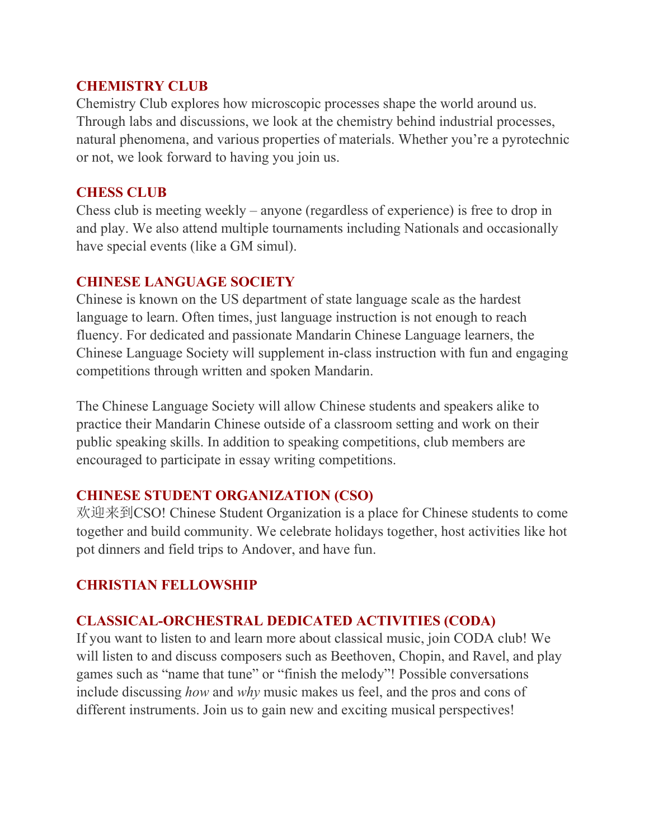## **CHEMISTRY CLUB**

Chemistry Club explores how microscopic processes shape the world around us. Through labs and discussions, we look at the chemistry behind industrial processes, natural phenomena, and various properties of materials. Whether you're a pyrotechnic or not, we look forward to having you join us.

# **CHESS CLUB**

Chess club is meeting weekly – anyone (regardless of experience) is free to drop in and play. We also attend multiple tournaments including Nationals and occasionally have special events (like a GM simul).

# **CHINESE LANGUAGE SOCIETY**

Chinese is known on the US department of state language scale as the hardest language to learn. Often times, just language instruction is not enough to reach fluency. For dedicated and passionate Mandarin Chinese Language learners, the Chinese Language Society will supplement in-class instruction with fun and engaging competitions through written and spoken Mandarin.

The Chinese Language Society will allow Chinese students and speakers alike to practice their Mandarin Chinese outside of a classroom setting and work on their public speaking skills. In addition to speaking competitions, club members are encouraged to participate in essay writing competitions.

# **CHINESE STUDENT ORGANIZATION (CSO)**

欢迎来到CSO! Chinese Student Organization is a place for Chinese students to come together and build community. We celebrate holidays together, host activities like hot pot dinners and field trips to Andover, and have fun.

# **CHRISTIAN FELLOWSHIP**

# **CLASSICAL-ORCHESTRAL DEDICATED ACTIVITIES (CODA)**

If you want to listen to and learn more about classical music, join CODA club! We will listen to and discuss composers such as Beethoven, Chopin, and Ravel, and play games such as "name that tune" or "finish the melody"! Possible conversations include discussing *how* and *why* music makes us feel, and the pros and cons of different instruments. Join us to gain new and exciting musical perspectives!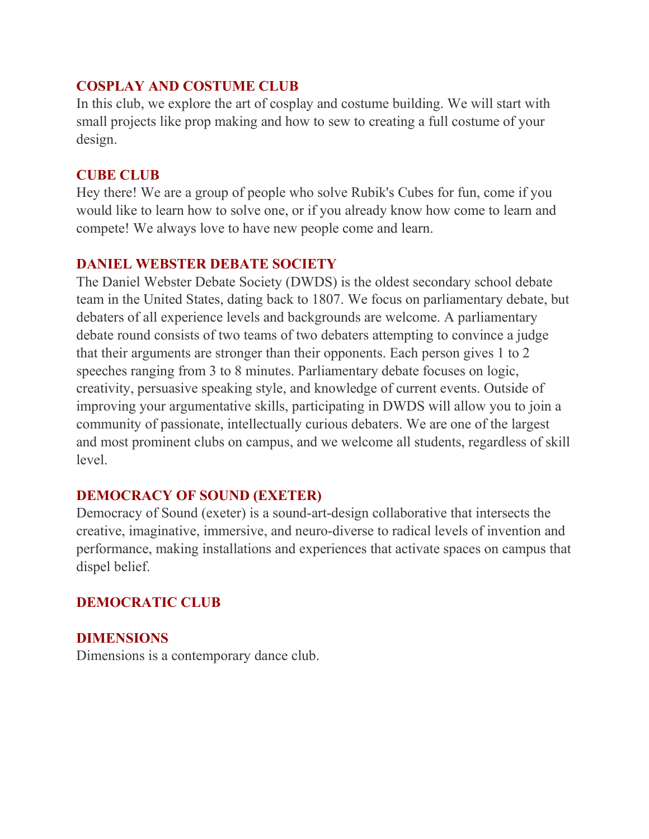## **COSPLAY AND COSTUME CLUB**

In this club, we explore the art of cosplay and costume building. We will start with small projects like prop making and how to sew to creating a full costume of your design.

## **CUBE CLUB**

Hey there! We are a group of people who solve Rubik's Cubes for fun, come if you would like to learn how to solve one, or if you already know how come to learn and compete! We always love to have new people come and learn.

# **DANIEL WEBSTER DEBATE SOCIETY**

The Daniel Webster Debate Society (DWDS) is the oldest secondary school debate team in the United States, dating back to 1807. We focus on parliamentary debate, but debaters of all experience levels and backgrounds are welcome. A parliamentary debate round consists of two teams of two debaters attempting to convince a judge that their arguments are stronger than their opponents. Each person gives 1 to 2 speeches ranging from 3 to 8 minutes. Parliamentary debate focuses on logic, creativity, persuasive speaking style, and knowledge of current events. Outside of improving your argumentative skills, participating in DWDS will allow you to join a community of passionate, intellectually curious debaters. We are one of the largest and most prominent clubs on campus, and we welcome all students, regardless of skill level.

# **DEMOCRACY OF SOUND (EXETER)**

Democracy of Sound (exeter) is a sound-art-design collaborative that intersects the creative, imaginative, immersive, and neuro-diverse to radical levels of invention and performance, making installations and experiences that activate spaces on campus that dispel belief.

# **DEMOCRATIC CLUB**

# **DIMENSIONS**

Dimensions is a contemporary dance club.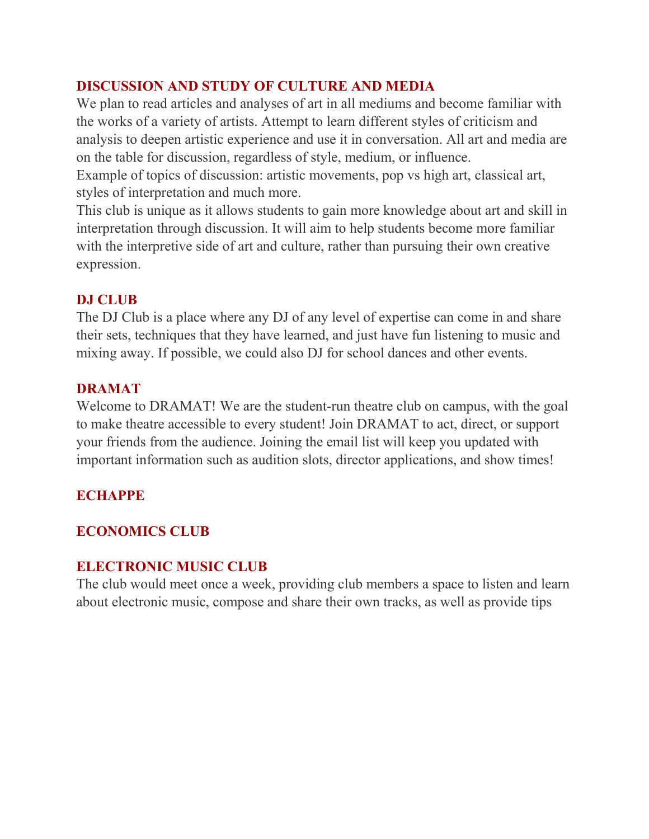# **DISCUSSION AND STUDY OF CULTURE AND MEDIA**

We plan to read articles and analyses of art in all mediums and become familiar with the works of a variety of artists. Attempt to learn different styles of criticism and analysis to deepen artistic experience and use it in conversation. All art and media are on the table for discussion, regardless of style, medium, or influence. Example of topics of discussion: artistic movements, pop vs high art, classical art,

styles of interpretation and much more.

This club is unique as it allows students to gain more knowledge about art and skill in interpretation through discussion. It will aim to help students become more familiar with the interpretive side of art and culture, rather than pursuing their own creative expression.

# **DJ CLUB**

The DJ Club is a place where any DJ of any level of expertise can come in and share their sets, techniques that they have learned, and just have fun listening to music and mixing away. If possible, we could also DJ for school dances and other events.

# **DRAMAT**

Welcome to DRAMAT! We are the student-run theatre club on campus, with the goal to make theatre accessible to every student! Join DRAMAT to act, direct, or support your friends from the audience. Joining the email list will keep you updated with important information such as audition slots, director applications, and show times!

# **ECHAPPE**

# **ECONOMICS CLUB**

## **ELECTRONIC MUSIC CLUB**

The club would meet once a week, providing club members a space to listen and learn about electronic music, compose and share their own tracks, as well as provide tips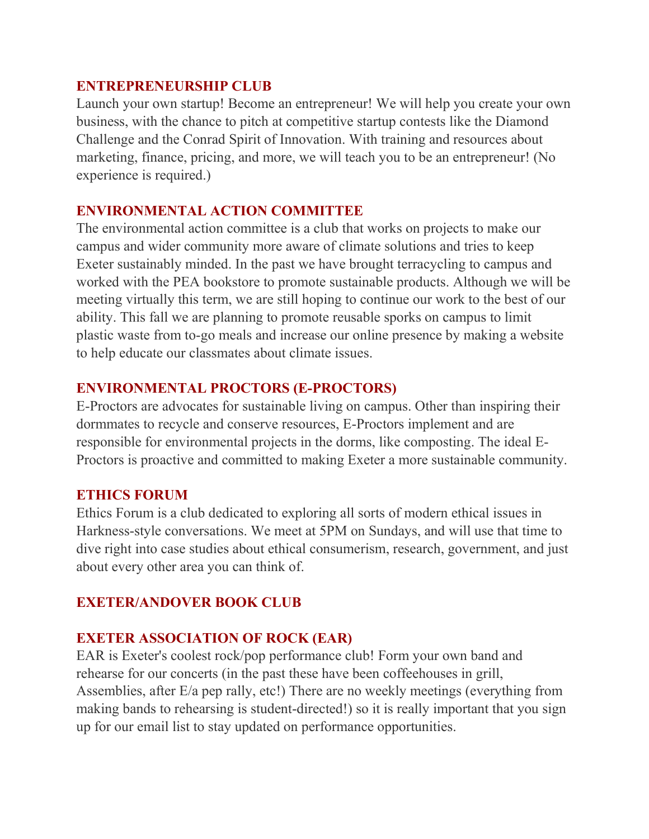#### **ENTREPRENEURSHIP CLUB**

Launch your own startup! Become an entrepreneur! We will help you create your own business, with the chance to pitch at competitive startup contests like the Diamond Challenge and the Conrad Spirit of Innovation. With training and resources about marketing, finance, pricing, and more, we will teach you to be an entrepreneur! (No experience is required.)

#### **ENVIRONMENTAL ACTION COMMITTEE**

The environmental action committee is a club that works on projects to make our campus and wider community more aware of climate solutions and tries to keep Exeter sustainably minded. In the past we have brought terracycling to campus and worked with the PEA bookstore to promote sustainable products. Although we will be meeting virtually this term, we are still hoping to continue our work to the best of our ability. This fall we are planning to promote reusable sporks on campus to limit plastic waste from to-go meals and increase our online presence by making a website to help educate our classmates about climate issues.

#### **ENVIRONMENTAL PROCTORS (E-PROCTORS)**

E-Proctors are advocates for sustainable living on campus. Other than inspiring their dormmates to recycle and conserve resources, E-Proctors implement and are responsible for environmental projects in the dorms, like composting. The ideal E-Proctors is proactive and committed to making Exeter a more sustainable community.

#### **ETHICS FORUM**

Ethics Forum is a club dedicated to exploring all sorts of modern ethical issues in Harkness-style conversations. We meet at 5PM on Sundays, and will use that time to dive right into case studies about ethical consumerism, research, government, and just about every other area you can think of.

#### **EXETER/ANDOVER BOOK CLUB**

#### **EXETER ASSOCIATION OF ROCK (EAR)**

EAR is Exeter's coolest rock/pop performance club! Form your own band and rehearse for our concerts (in the past these have been coffeehouses in grill, Assemblies, after E/a pep rally, etc!) There are no weekly meetings (everything from making bands to rehearsing is student-directed!) so it is really important that you sign up for our email list to stay updated on performance opportunities.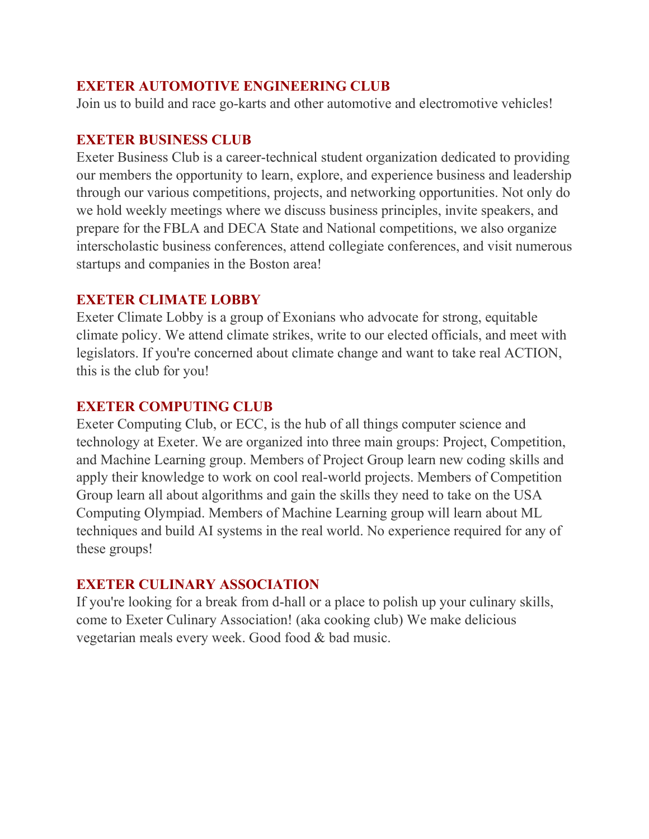#### **EXETER AUTOMOTIVE ENGINEERING CLUB**

Join us to build and race go-karts and other automotive and electromotive vehicles!

#### **EXETER BUSINESS CLUB**

Exeter Business Club is a career-technical student organization dedicated to providing our members the opportunity to learn, explore, and experience business and leadership through our various competitions, projects, and networking opportunities. Not only do we hold weekly meetings where we discuss business principles, invite speakers, and prepare for the FBLA and DECA State and National competitions, we also organize interscholastic business conferences, attend collegiate conferences, and visit numerous startups and companies in the Boston area!

#### **EXETER CLIMATE LOBBY**

Exeter Climate Lobby is a group of Exonians who advocate for strong, equitable climate policy. We attend climate strikes, write to our elected officials, and meet with legislators. If you're concerned about climate change and want to take real ACTION, this is the club for you!

#### **EXETER COMPUTING CLUB**

Exeter Computing Club, or ECC, is the hub of all things computer science and technology at Exeter. We are organized into three main groups: Project, Competition, and Machine Learning group. Members of Project Group learn new coding skills and apply their knowledge to work on cool real-world projects. Members of Competition Group learn all about algorithms and gain the skills they need to take on the USA Computing Olympiad. Members of Machine Learning group will learn about ML techniques and build AI systems in the real world. No experience required for any of these groups!   

## **EXETER CULINARY ASSOCIATION**

If you're looking for a break from d-hall or a place to polish up your culinary skills, come to Exeter Culinary Association! (aka cooking club) We make delicious vegetarian meals every week. Good food & bad music.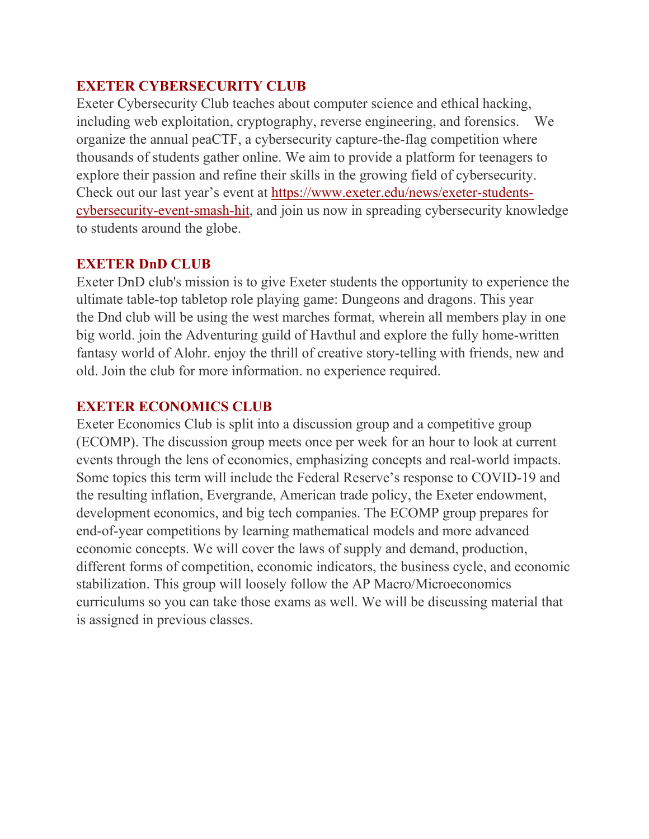#### **EXETER CYBERSECURITY CLUB**

Exeter Cybersecurity Club teaches about computer science and ethical hacking, including web exploitation, cryptography, reverse engineering, and forensics.     We organize the annual peaCTF, a cybersecurity capture-the-flag competition where thousands of students gather online. We aim to provide a platform for teenagers to explore their passion and refine their skills in the growing field of cybersecurity. Check out our last year's event at [https://www.exeter.edu/news/exeter-students](https://www.exeter.edu/news/exeter-students-cybersecurity-event-smash-hit)[cybersecurity-event-smash-hit,](https://www.exeter.edu/news/exeter-students-cybersecurity-event-smash-hit) and join us now in spreading cybersecurity knowledge to students around the globe.

#### **EXETER DnD CLUB**

Exeter DnD club's mission is to give Exeter students the opportunity to experience the ultimate table-top tabletop role playing game: Dungeons and dragons. This year the Dnd club will be using the west marches format, wherein all members play in one big world. join the Adventuring guild of Havthul and explore the fully home-written fantasy world of Alohr. enjoy the thrill of creative story-telling with friends, new and old. Join the club for more information. no experience required. 

## **EXETER ECONOMICS CLUB**

Exeter Economics Club is split into a discussion group and a competitive group (ECOMP). The discussion group meets once per week for an hour to look at current events through the lens of economics, emphasizing concepts and real-world impacts. Some topics this term will include the Federal Reserve's response to COVID-19 and the resulting inflation, Evergrande, American trade policy, the Exeter endowment, development economics, and big tech companies. The ECOMP group prepares for end-of-year competitions by learning mathematical models and more advanced economic concepts. We will cover the laws of supply and demand, production, different forms of competition, economic indicators, the business cycle, and economic stabilization. This group will loosely follow the AP Macro/Microeconomics curriculums so you can take those exams as well. We will be discussing material that is assigned in previous classes.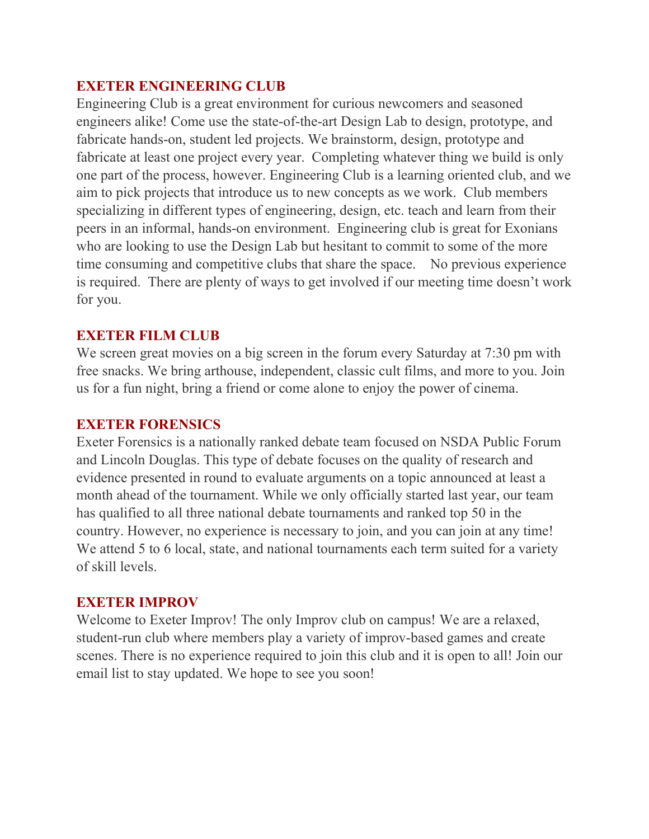## **EXETER ENGINEERING CLUB**

Engineering Club is a great environment for curious newcomers and seasoned engineers alike! Come use the state-of-the-art Design Lab to design, prototype, and fabricate hands-on, student led projects. We brainstorm, design, prototype and fabricate at least one project every year. Completing whatever thing we build is only one part of the process, however. Engineering Club is a learning oriented club, and we aim to pick projects that introduce us to new concepts as we work. Club members specializing in different types of engineering, design, etc. teach and learn from their peers in an informal, hands-on environment. Engineering club is great for Exonians who are looking to use the Design Lab but hesitant to commit to some of the more time consuming and competitive clubs that share the space. No previous experience is required. There are plenty of ways to get involved if our meeting time doesn't work for you.

#### **EXETER FILM CLUB**

We screen great movies on a big screen in the forum every Saturday at 7:30 pm with free snacks. We bring arthouse, independent, classic cult films, and more to you. Join us for a fun night, bring a friend or come alone to enjoy the power of cinema.

#### **EXETER FORENSICS**

Exeter Forensics is a nationally ranked debate team focused on NSDA Public Forum and Lincoln Douglas. This type of debate focuses on the quality of research and evidence presented in round to evaluate arguments on a topic announced at least a month ahead of the tournament. While we only officially started last year, our team has qualified to all three national debate tournaments and ranked top 50 in the country. However, no experience is necessary to join, and you can join at any time! We attend 5 to 6 local, state, and national tournaments each term suited for a variety of skill levels.

#### **EXETER IMPROV**

Welcome to Exeter Improv! The only Improv club on campus! We are a relaxed, student-run club where members play a variety of improv-based games and create scenes. There is no experience required to join this club and it is open to all! Join our email list to stay updated. We hope to see you soon!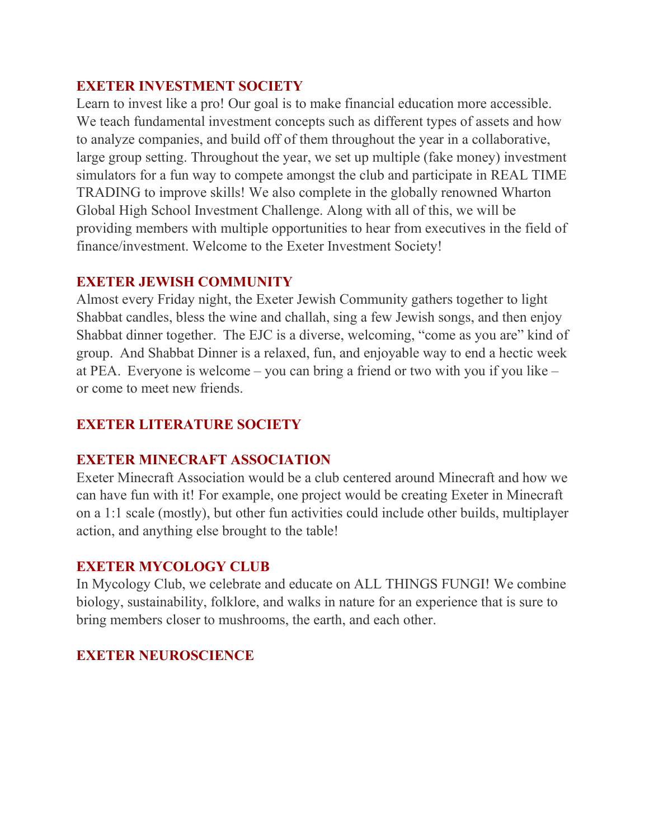## **EXETER INVESTMENT SOCIETY**

Learn to invest like a pro! Our goal is to make financial education more accessible. We teach fundamental investment concepts such as different types of assets and how to analyze companies, and build off of them throughout the year in a collaborative, large group setting. Throughout the year, we set up multiple (fake money) investment simulators for a fun way to compete amongst the club and participate in REAL TIME TRADING to improve skills! We also complete in the globally renowned Wharton Global High School Investment Challenge. Along with all of this, we will be providing members with multiple opportunities to hear from executives in the field of finance/investment. Welcome to the Exeter Investment Society!

## **EXETER JEWISH COMMUNITY**

Almost every Friday night, the Exeter Jewish Community gathers together to light Shabbat candles, bless the wine and challah, sing a few Jewish songs, and then enjoy Shabbat dinner together.  The EJC is a diverse, welcoming, "come as you are" kind of group.  And Shabbat Dinner is a relaxed, fun, and enjoyable way to end a hectic week at PEA.  Everyone is welcome – you can bring a friend or two with you if you like – or come to meet new friends.

# **EXETER LITERATURE SOCIETY**

## **EXETER MINECRAFT ASSOCIATION**

Exeter Minecraft Association would be a club centered around Minecraft and how we can have fun with it! For example, one project would be creating Exeter in Minecraft on a 1:1 scale (mostly), but other fun activities could include other builds, multiplayer action, and anything else brought to the table!

## **EXETER MYCOLOGY CLUB**

In Mycology Club, we celebrate and educate on ALL THINGS FUNGI! We combine biology, sustainability, folklore, and walks in nature for an experience that is sure to bring members closer to mushrooms, the earth, and each other.

## **EXETER NEUROSCIENCE**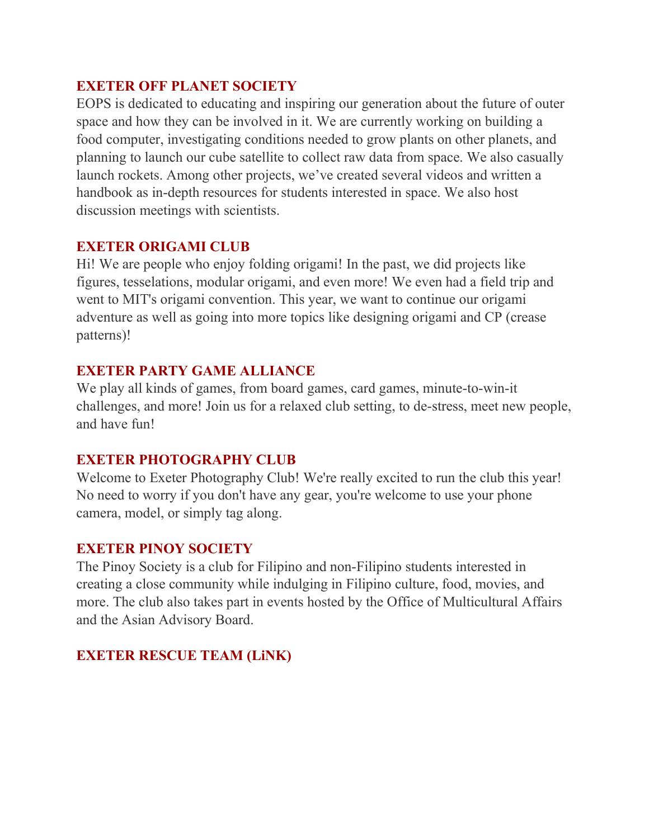## **EXETER OFF PLANET SOCIETY**

EOPS is dedicated to educating and inspiring our generation about the future of outer space and how they can be involved in it. We are currently working on building a food computer, investigating conditions needed to grow plants on other planets, and planning to launch our cube satellite to collect raw data from space. We also casually launch rockets. Among other projects, we've created several videos and written a handbook as in-depth resources for students interested in space. We also host discussion meetings with scientists.

# **EXETER ORIGAMI CLUB**

Hi! We are people who enjoy folding origami! In the past, we did projects like figures, tesselations, modular origami, and even more! We even had a field trip and went to MIT's origami convention. This year, we want to continue our origami adventure as well as going into more topics like designing origami and CP (crease patterns)!

## **EXETER PARTY GAME ALLIANCE**

We play all kinds of games, from board games, card games, minute-to-win-it challenges, and more! Join us for a relaxed club setting, to de-stress, meet new people, and have fun!

# **EXETER PHOTOGRAPHY CLUB**

Welcome to Exeter Photography Club! We're really excited to run the club this year! No need to worry if you don't have any gear, you're welcome to use your phone camera, model, or simply tag along.

# **EXETER PINOY SOCIETY**

The Pinoy Society is a club for Filipino and non-Filipino students interested in creating a close community while indulging in Filipino culture, food, movies, and more. The club also takes part in events hosted by the Office of Multicultural Affairs and the Asian Advisory Board.

# **EXETER RESCUE TEAM (LiNK)**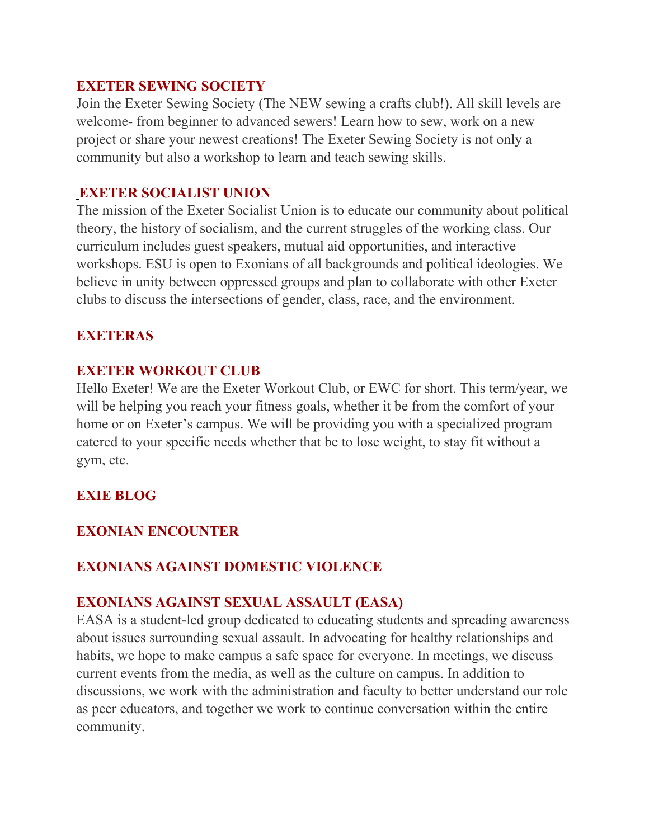#### **EXETER SEWING SOCIETY**

Join the Exeter Sewing Society (The NEW sewing a crafts club!). All skill levels are welcome- from beginner to advanced sewers! Learn how to sew, work on a new project or share your newest creations! The Exeter Sewing Society is not only a community but also a workshop to learn and teach sewing skills.

## **EXETER SOCIALIST UNION**

The mission of the Exeter Socialist Union is to educate our community about political theory, the history of socialism, and the current struggles of the working class. Our curriculum includes guest speakers, mutual aid opportunities, and interactive workshops. ESU is open to Exonians of all backgrounds and political ideologies. We believe in unity between oppressed groups and plan to collaborate with other Exeter clubs to discuss the intersections of gender, class, race, and the environment.

## **EXETERAS**

## **EXETER WORKOUT CLUB**

Hello Exeter! We are the Exeter Workout Club, or EWC for short. This term/year, we will be helping you reach your fitness goals, whether it be from the comfort of your home or on Exeter's campus. We will be providing you with a specialized program catered to your specific needs whether that be to lose weight, to stay fit without a gym, etc.

# **EXIE BLOG**

# **EXONIAN ENCOUNTER**

## **EXONIANS AGAINST DOMESTIC VIOLENCE**

## **EXONIANS AGAINST SEXUAL ASSAULT (EASA)**

EASA is a student-led group dedicated to educating students and spreading awareness about issues surrounding sexual assault. In advocating for healthy relationships and habits, we hope to make campus a safe space for everyone. In meetings, we discuss current events from the media, as well as the culture on campus. In addition to discussions, we work with the administration and faculty to better understand our role as peer educators, and together we work to continue conversation within the entire community.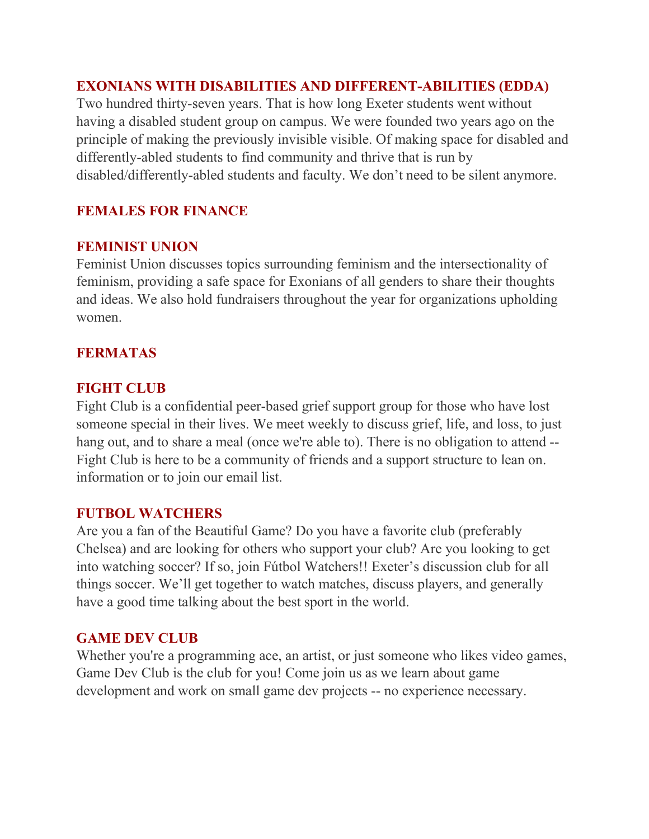# **EXONIANS WITH DISABILITIES AND DIFFERENT-ABILITIES (EDDA)**

Two hundred thirty-seven years. That is how long Exeter students went without having a disabled student group on campus. We were founded two years ago on the principle of making the previously invisible visible. Of making space for disabled and differently-abled students to find community and thrive that is run by disabled/differently-abled students and faculty. We don't need to be silent anymore.

# **FEMALES FOR FINANCE**

## **FEMINIST UNION**

Feminist Union discusses topics surrounding feminism and the intersectionality of feminism, providing a safe space for Exonians of all genders to share their thoughts and ideas. We also hold fundraisers throughout the year for organizations upholding women.

## **FERMATAS**

## **FIGHT CLUB**

Fight Club is a confidential peer-based grief support group for those who have lost someone special in their lives. We meet weekly to discuss grief, life, and loss, to just hang out, and to share a meal (once we're able to). There is no obligation to attend --Fight Club is here to be a community of friends and a support structure to lean on. information or to join our email list.

## **FUTBOL WATCHERS**

Are you a fan of the Beautiful Game? Do you have a favorite club (preferably Chelsea) and are looking for others who support your club? Are you looking to get into watching soccer? If so, join Fútbol Watchers!! Exeter's discussion club for all things soccer. We'll get together to watch matches, discuss players, and generally have a good time talking about the best sport in the world.

## **GAME DEV CLUB**

Whether you're a programming ace, an artist, or just someone who likes video games, Game Dev Club is the club for you! Come join us as we learn about game development and work on small game dev projects -- no experience necessary.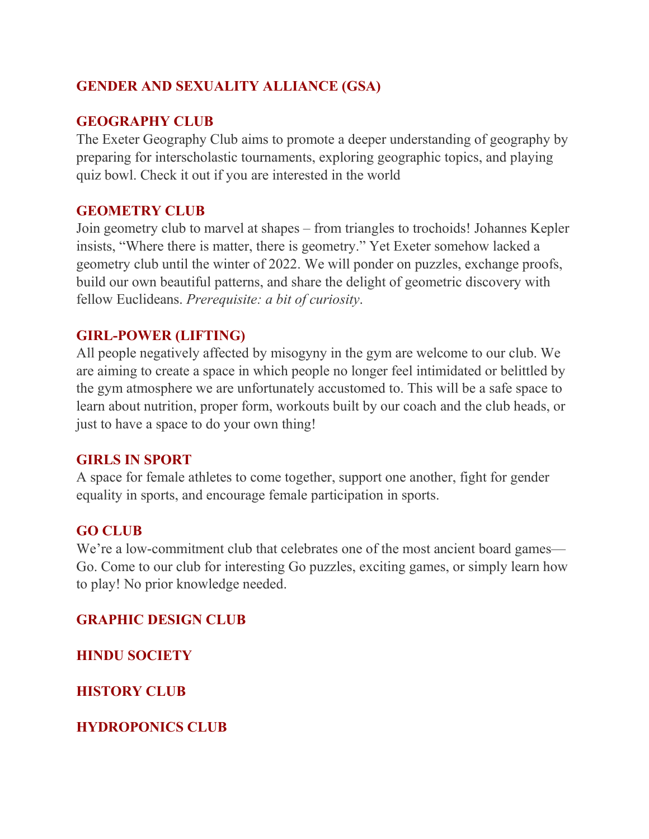# **GENDER AND SEXUALITY ALLIANCE (GSA)**

## **GEOGRAPHY CLUB**

The Exeter Geography Club aims to promote a deeper understanding of geography by preparing for interscholastic tournaments, exploring geographic topics, and playing quiz bowl. Check it out if you are interested in the world

#### **GEOMETRY CLUB**

Join geometry club to marvel at shapes – from triangles to trochoids! Johannes Kepler insists, "Where there is matter, there is geometry." Yet Exeter somehow lacked a geometry club until the winter of 2022. We will ponder on puzzles, exchange proofs, build our own beautiful patterns, and share the delight of geometric discovery with fellow Euclideans. *Prerequisite: a bit of curiosity*.

#### **GIRL-POWER (LIFTING)**

All people negatively affected by misogyny in the gym are welcome to our club. We are aiming to create a space in which people no longer feel intimidated or belittled by the gym atmosphere we are unfortunately accustomed to. This will be a safe space to learn about nutrition, proper form, workouts built by our coach and the club heads, or just to have a space to do your own thing!

#### **GIRLS IN SPORT**

A space for female athletes to come together, support one another, fight for gender equality in sports, and encourage female participation in sports.

## **GO CLUB**

We're a low-commitment club that celebrates one of the most ancient board games— Go. Come to our club for interesting Go puzzles, exciting games, or simply learn how to play! No prior knowledge needed.

## **GRAPHIC DESIGN CLUB**

**HINDU SOCIETY**

**HISTORY CLUB**

**HYDROPONICS CLUB**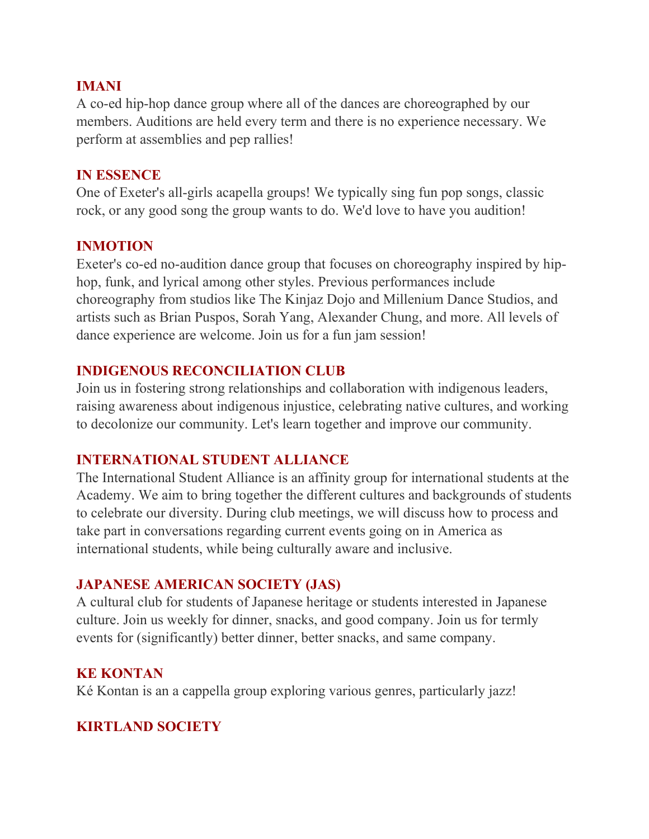#### **IMANI**

A co-ed hip-hop dance group where all of the dances are choreographed by our members. Auditions are held every term and there is no experience necessary. We perform at assemblies and pep rallies!

#### **IN ESSENCE**

One of Exeter's all-girls acapella groups! We typically sing fun pop songs, classic rock, or any good song the group wants to do. We'd love to have you audition!

## **INMOTION**

Exeter's co-ed no-audition dance group that focuses on choreography inspired by hiphop, funk, and lyrical among other styles. Previous performances include choreography from studios like The Kinjaz Dojo and Millenium Dance Studios, and artists such as Brian Puspos, Sorah Yang, Alexander Chung, and more. All levels of dance experience are welcome. Join us for a fun jam session!

## **INDIGENOUS RECONCILIATION CLUB**

Join us in fostering strong relationships and collaboration with indigenous leaders, raising awareness about indigenous injustice, celebrating native cultures, and working to decolonize our community. Let's learn together and improve our community.

## **INTERNATIONAL STUDENT ALLIANCE**

The International Student Alliance is an affinity group for international students at the Academy. We aim to bring together the different cultures and backgrounds of students to celebrate our diversity. During club meetings, we will discuss how to process and take part in conversations regarding current events going on in America as international students, while being culturally aware and inclusive.

## **JAPANESE AMERICAN SOCIETY (JAS)**

A cultural club for students of Japanese heritage or students interested in Japanese culture. Join us weekly for dinner, snacks, and good company. Join us for termly events for (significantly) better dinner, better snacks, and same company. 

#### **KE KONTAN**

Ké Kontan is an a cappella group exploring various genres, particularly jazz!  

# **KIRTLAND SOCIETY**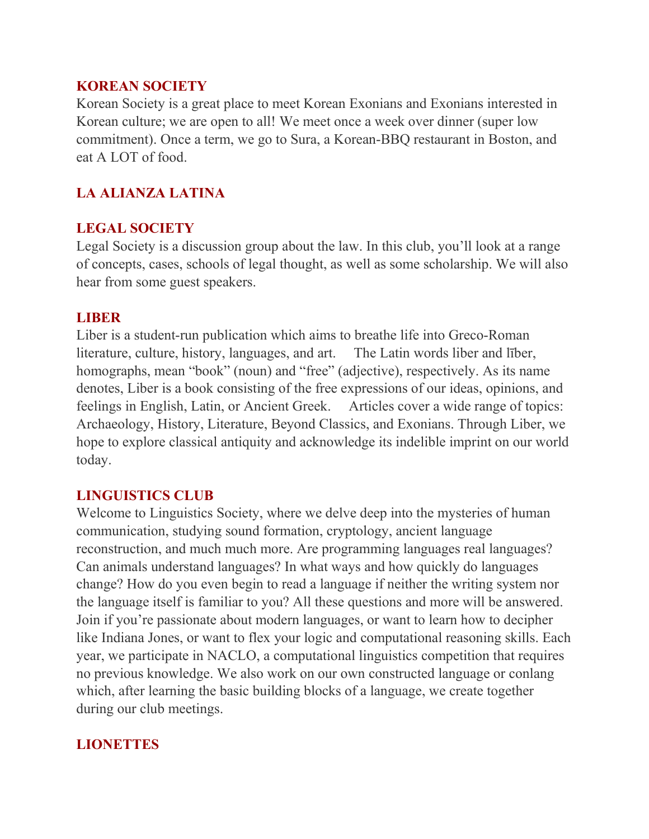## **KOREAN SOCIETY**

Korean Society is a great place to meet Korean Exonians and Exonians interested in Korean culture; we are open to all! We meet once a week over dinner (super low commitment). Once a term, we go to Sura, a Korean-BBQ restaurant in Boston, and eat A LOT of food.

# **LA ALIANZA LATINA**

# **LEGAL SOCIETY**

Legal Society is a discussion group about the law. In this club, you'll look at a range of concepts, cases, schools of legal thought, as well as some scholarship. We will also hear from some guest speakers.

## **LIBER**

Liber is a student-run publication which aims to breathe life into Greco-Roman literature, culture, history, languages, and art. The Latin words liber and līber, homographs, mean "book" (noun) and "free" (adjective), respectively. As its name denotes, Liber is a book consisting of the free expressions of our ideas, opinions, and feelings in English, Latin, or Ancient Greek. Articles cover a wide range of topics: Archaeology, History, Literature, Beyond Classics, and Exonians. Through Liber, we hope to explore classical antiquity and acknowledge its indelible imprint on our world today.

# **LINGUISTICS CLUB**

Welcome to Linguistics Society, where we delve deep into the mysteries of human communication, studying sound formation, cryptology, ancient language reconstruction, and much much more. Are programming languages real languages? Can animals understand languages? In what ways and how quickly do languages change? How do you even begin to read a language if neither the writing system nor the language itself is familiar to you? All these questions and more will be answered. Join if you're passionate about modern languages, or want to learn how to decipher like Indiana Jones, or want to flex your logic and computational reasoning skills. Each year, we participate in NACLO, a computational linguistics competition that requires no previous knowledge. We also work on our own constructed language or conlang which, after learning the basic building blocks of a language, we create together during our club meetings.

## **LIONETTES**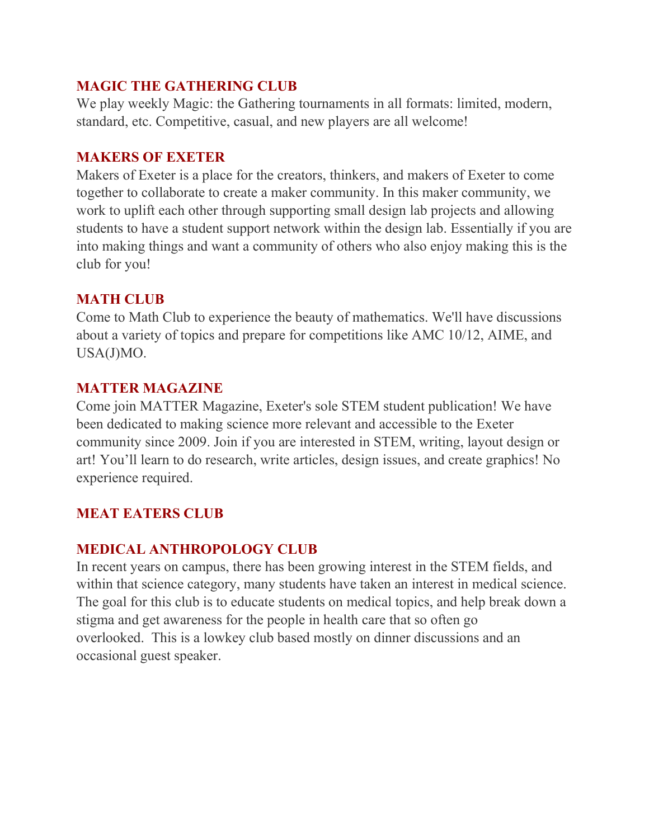# **MAGIC THE GATHERING CLUB**

We play weekly Magic: the Gathering tournaments in all formats: limited, modern, standard, etc. Competitive, casual, and new players are all welcome!

#### **MAKERS OF EXETER**

Makers of Exeter is a place for the creators, thinkers, and makers of Exeter to come together to collaborate to create a maker community. In this maker community, we work to uplift each other through supporting small design lab projects and allowing students to have a student support network within the design lab. Essentially if you are into making things and want a community of others who also enjoy making this is the club for you!

## **MATH CLUB**

Come to Math Club to experience the beauty of mathematics. We'll have discussions about a variety of topics and prepare for competitions like AMC 10/12, AIME, and USA(J)MO.

## **MATTER MAGAZINE**

Come join MATTER Magazine, Exeter's sole STEM student publication! We have been dedicated to making science more relevant and accessible to the Exeter community since 2009. Join if you are interested in STEM, writing, layout design or art! You'll learn to do research, write articles, design issues, and create graphics! No experience required. 

# **MEAT EATERS CLUB**

# **MEDICAL ANTHROPOLOGY CLUB**

In recent years on campus, there has been growing interest in the STEM fields, and within that science category, many students have taken an interest in medical science. The goal for this club is to educate students on medical topics, and help break down a stigma and get awareness for the people in health care that so often go overlooked. This is a lowkey club based mostly on dinner discussions and an occasional guest speaker.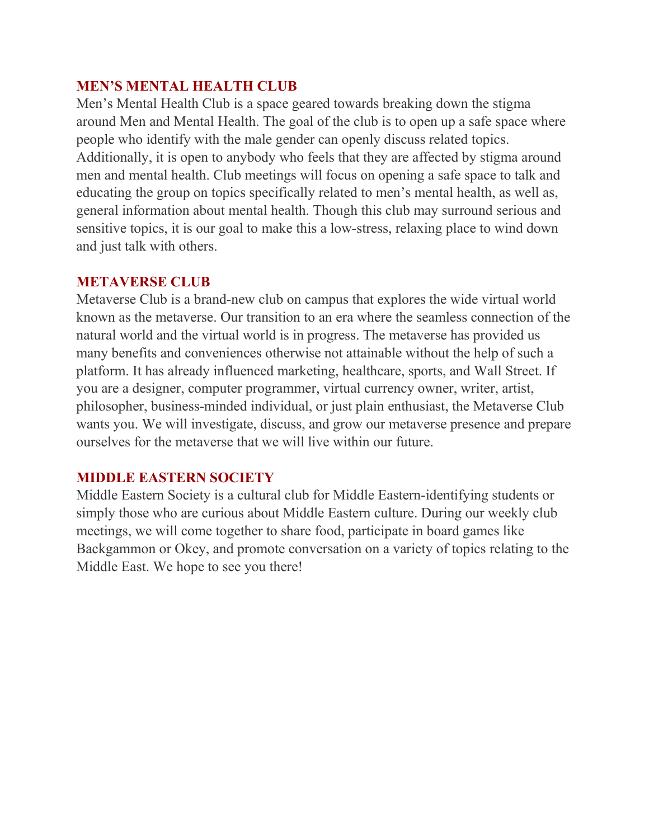#### **MEN'S MENTAL HEALTH CLUB**

Men's Mental Health Club is a space geared towards breaking down the stigma around Men and Mental Health. The goal of the club is to open up a safe space where people who identify with the male gender can openly discuss related topics. Additionally, it is open to anybody who feels that they are affected by stigma around men and mental health. Club meetings will focus on opening a safe space to talk and educating the group on topics specifically related to men's mental health, as well as, general information about mental health. Though this club may surround serious and sensitive topics, it is our goal to make this a low-stress, relaxing place to wind down and just talk with others.

#### **METAVERSE CLUB**

Metaverse Club is a brand-new club on campus that explores the wide virtual world known as the metaverse. Our transition to an era where the seamless connection of the natural world and the virtual world is in progress. The metaverse has provided us many benefits and conveniences otherwise not attainable without the help of such a platform. It has already influenced marketing, healthcare, sports, and Wall Street. If you are a designer, computer programmer, virtual currency owner, writer, artist, philosopher, business-minded individual, or just plain enthusiast, the Metaverse Club wants you. We will investigate, discuss, and grow our metaverse presence and prepare ourselves for the metaverse that we will live within our future.

## **MIDDLE EASTERN SOCIETY**

Middle Eastern Society is a cultural club for Middle Eastern-identifying students or simply those who are curious about Middle Eastern culture. During our weekly club meetings, we will come together to share food, participate in board games like Backgammon or Okey, and promote conversation on a variety of topics relating to the Middle East. We hope to see you there!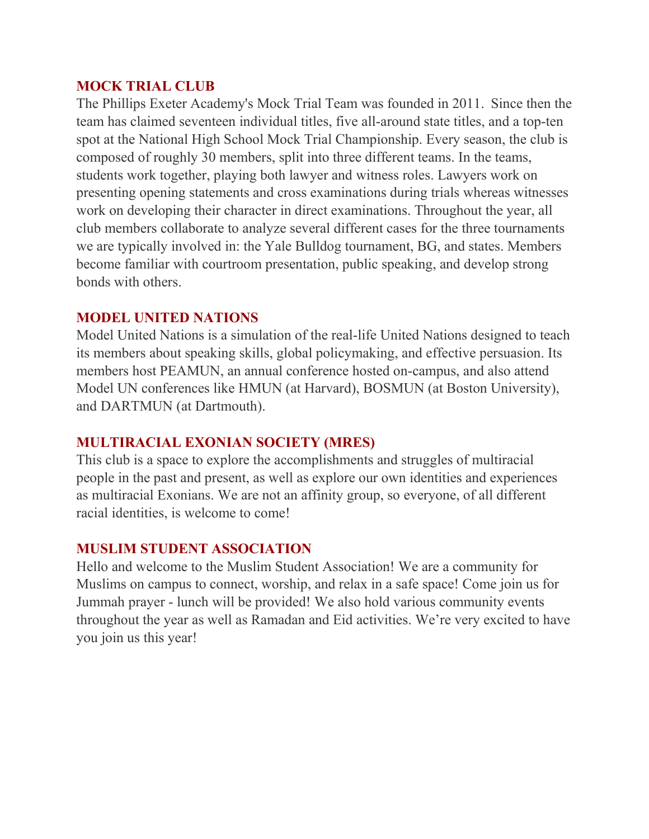#### **MOCK TRIAL CLUB**

The Phillips Exeter Academy's Mock Trial Team was founded in 2011.  Since then the team has claimed seventeen individual titles, five all-around state titles, and a top-ten spot at the National High School Mock Trial Championship. Every season, the club is composed of roughly 30 members, split into three different teams. In the teams, students work together, playing both lawyer and witness roles. Lawyers work on presenting opening statements and cross examinations during trials whereas witnesses work on developing their character in direct examinations. Throughout the year, all club members collaborate to analyze several different cases for the three tournaments we are typically involved in: the Yale Bulldog tournament, BG, and states. Members become familiar with courtroom presentation, public speaking, and develop strong bonds with others.    

#### **MODEL UNITED NATIONS**

Model United Nations is a simulation of the real-life United Nations designed to teach its members about speaking skills, global policymaking, and effective persuasion. Its members host PEAMUN, an annual conference hosted on-campus, and also attend Model UN conferences like HMUN (at Harvard), BOSMUN (at Boston University), and DARTMUN (at Dartmouth).

#### **MULTIRACIAL EXONIAN SOCIETY (MRES)**

This club is a space to explore the accomplishments and struggles of multiracial people in the past and present, as well as explore our own identities and experiences as multiracial Exonians. We are not an affinity group, so everyone, of all different racial identities, is welcome to come!

## **MUSLIM STUDENT ASSOCIATION**

Hello and welcome to the Muslim Student Association! We are a community for Muslims on campus to connect, worship, and relax in a safe space! Come join us for Jummah prayer - lunch will be provided! We also hold various community events throughout the year as well as Ramadan and Eid activities. We're very excited to have you join us this year!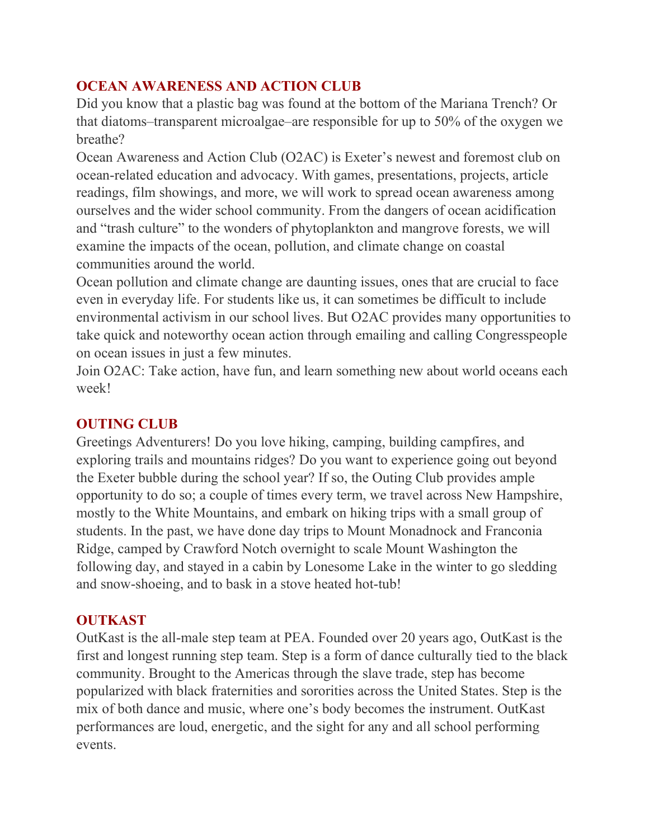# **OCEAN AWARENESS AND ACTION CLUB**

Did you know that a plastic bag was found at the bottom of the Mariana Trench? Or that diatoms–transparent microalgae–are responsible for up to 50% of the oxygen we breathe?

Ocean Awareness and Action Club (O2AC) is Exeter's newest and foremost club on ocean-related education and advocacy. With games, presentations, projects, article readings, film showings, and more, we will work to spread ocean awareness among ourselves and the wider school community. From the dangers of ocean acidification and "trash culture" to the wonders of phytoplankton and mangrove forests, we will examine the impacts of the ocean, pollution, and climate change on coastal communities around the world.

Ocean pollution and climate change are daunting issues, ones that are crucial to face even in everyday life. For students like us, it can sometimes be difficult to include environmental activism in our school lives. But O2AC provides many opportunities to take quick and noteworthy ocean action through emailing and calling Congresspeople on ocean issues in just a few minutes.

Join O2AC: Take action, have fun, and learn something new about world oceans each week!

## **OUTING CLUB**

Greetings Adventurers! Do you love hiking, camping, building campfires, and exploring trails and mountains ridges? Do you want to experience going out beyond the Exeter bubble during the school year? If so, the Outing Club provides ample opportunity to do so; a couple of times every term, we travel across New Hampshire, mostly to the White Mountains, and embark on hiking trips with a small group of students. In the past, we have done day trips to Mount Monadnock and Franconia Ridge, camped by Crawford Notch overnight to scale Mount Washington the following day, and stayed in a cabin by Lonesome Lake in the winter to go sledding and snow-shoeing, and to bask in a stove heated hot-tub!

## **OUTKAST**

OutKast is the all-male step team at PEA. Founded over 20 years ago, OutKast is the first and longest running step team. Step is a form of dance culturally tied to the black community. Brought to the Americas through the slave trade, step has become popularized with black fraternities and sororities across the United States. Step is the mix of both dance and music, where one's body becomes the instrument. OutKast performances are loud, energetic, and the sight for any and all school performing events.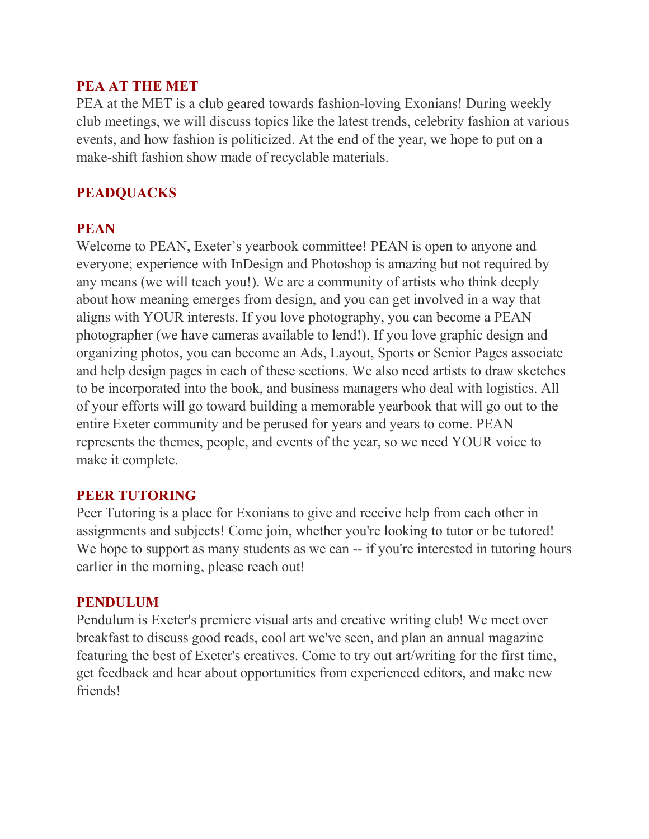#### **PEA AT THE MET**

PEA at the MET is a club geared towards fashion-loving Exonians! During weekly club meetings, we will discuss topics like the latest trends, celebrity fashion at various events, and how fashion is politicized. At the end of the year, we hope to put on a make-shift fashion show made of recyclable materials.

## **PEADQUACKS**

#### **PEAN**

Welcome to PEAN, Exeter's yearbook committee! PEAN is open to anyone and everyone; experience with InDesign and Photoshop is amazing but not required by any means (we will teach you!). We are a community of artists who think deeply about how meaning emerges from design, and you can get involved in a way that aligns with YOUR interests. If you love photography, you can become a PEAN photographer (we have cameras available to lend!). If you love graphic design and organizing photos, you can become an Ads, Layout, Sports or Senior Pages associate and help design pages in each of these sections. We also need artists to draw sketches to be incorporated into the book, and business managers who deal with logistics. All of your efforts will go toward building a memorable yearbook that will go out to the entire Exeter community and be perused for years and years to come. PEAN represents the themes, people, and events of the year, so we need YOUR voice to make it complete.

## **PEER TUTORING**

Peer Tutoring is a place for Exonians to give and receive help from each other in assignments and subjects! Come join, whether you're looking to tutor or be tutored! We hope to support as many students as we can -- if you're interested in tutoring hours earlier in the morning, please reach out!

#### **PENDULUM**

Pendulum is Exeter's premiere visual arts and creative writing club! We meet over breakfast to discuss good reads, cool art we've seen, and plan an annual magazine featuring the best of Exeter's creatives. Come to try out art/writing for the first time, get feedback and hear about opportunities from experienced editors, and make new friends!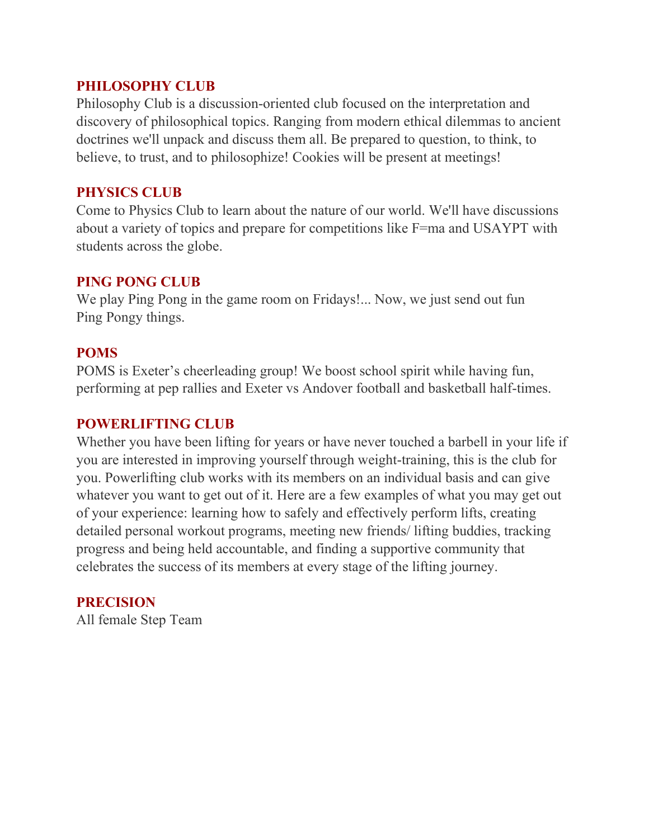#### **PHILOSOPHY CLUB**

Philosophy Club is a discussion-oriented club focused on the interpretation and discovery of philosophical topics. Ranging from modern ethical dilemmas to ancient doctrines we'll unpack and discuss them all. Be prepared to question, to think, to believe, to trust, and to philosophize! Cookies will be present at meetings!

#### **PHYSICS CLUB**

Come to Physics Club to learn about the nature of our world. We'll have discussions about a variety of topics and prepare for competitions like F=ma and USAYPT with students across the globe.

#### **PING PONG CLUB**

We play Ping Pong in the game room on Fridays!... Now, we just send out fun Ping Pongy things.

## **POMS**

POMS is Exeter's cheerleading group! We boost school spirit while having fun, performing at pep rallies and Exeter vs Andover football and basketball half-times.

#### **POWERLIFTING CLUB**

Whether you have been lifting for years or have never touched a barbell in your life if you are interested in improving yourself through weight-training, this is the club for you. Powerlifting club works with its members on an individual basis and can give whatever you want to get out of it. Here are a few examples of what you may get out of your experience: learning how to safely and effectively perform lifts, creating detailed personal workout programs, meeting new friends/ lifting buddies, tracking progress and being held accountable, and finding a supportive community that celebrates the success of its members at every stage of the lifting journey.

## **PRECISION**

All female Step Team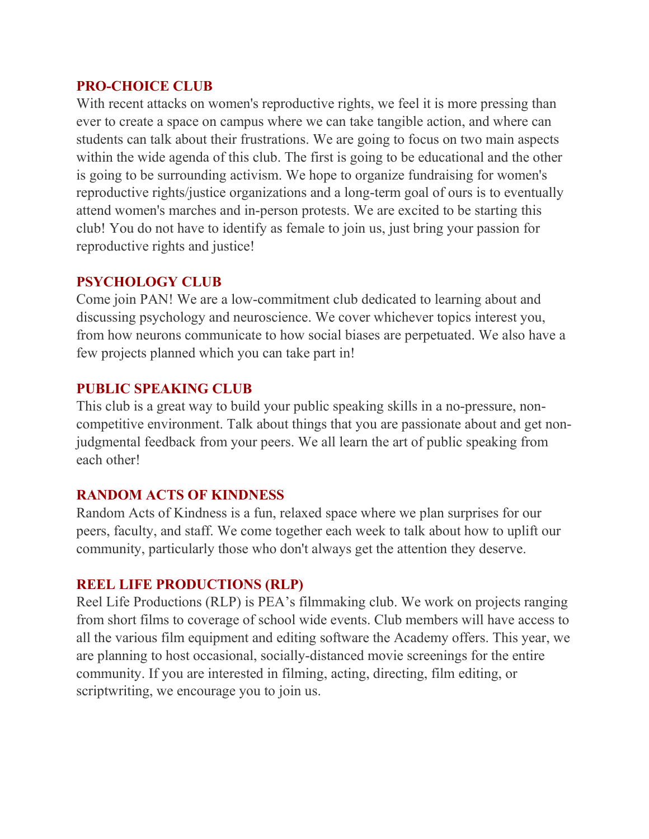#### **PRO-CHOICE CLUB**

With recent attacks on women's reproductive rights, we feel it is more pressing than ever to create a space on campus where we can take tangible action, and where can students can talk about their frustrations. We are going to focus on two main aspects within the wide agenda of this club. The first is going to be educational and the other is going to be surrounding activism. We hope to organize fundraising for women's reproductive rights/justice organizations and a long-term goal of ours is to eventually attend women's marches and in-person protests. We are excited to be starting this club! You do not have to identify as female to join us, just bring your passion for reproductive rights and justice!

## **PSYCHOLOGY CLUB**

Come join PAN! We are a low-commitment club dedicated to learning about and discussing psychology and neuroscience. We cover whichever topics interest you, from how neurons communicate to how social biases are perpetuated. We also have a few projects planned which you can take part in!

## **PUBLIC SPEAKING CLUB**

This club is a great way to build your public speaking skills in a no-pressure, noncompetitive environment. Talk about things that you are passionate about and get nonjudgmental feedback from your peers. We all learn the art of public speaking from each other!

## **RANDOM ACTS OF KINDNESS**

Random Acts of Kindness is a fun, relaxed space where we plan surprises for our peers, faculty, and staff. We come together each week to talk about how to uplift our community, particularly those who don't always get the attention they deserve.

#### **[REEL LIFE PRODUCTIONS \(RLP\)](https://www.dropbox.com/s/re3p0d5gyuudkrt/Safira%20Schiowitz%20-%20RLP%20Infomercial.mp4?dl=0)**

Reel Life Productions (RLP) is PEA's filmmaking club. We work on projects ranging from short films to coverage of school wide events. Club members will have access to all the various film equipment and editing software the Academy offers. This year, we are planning to host occasional, socially-distanced movie screenings for the entire community. If you are interested in filming, acting, directing, film editing, or scriptwriting, we encourage you to join us.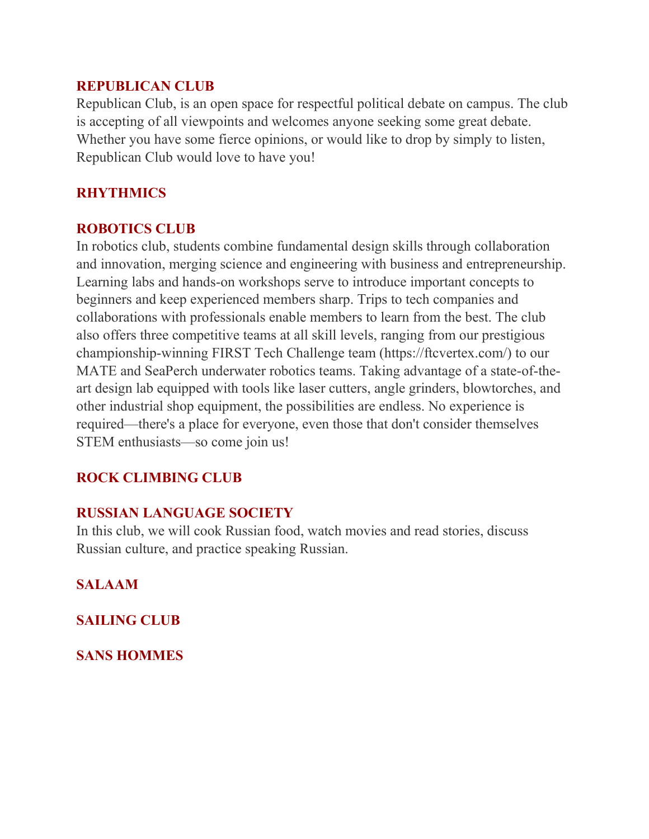#### **REPUBLICAN CLUB**

Republican Club, is an open space for respectful political debate on campus. The club is accepting of all viewpoints and welcomes anyone seeking some great debate. Whether you have some fierce opinions, or would like to drop by simply to listen, Republican Club would love to have you!

# **RHYTHMICS**

#### **ROBOTICS CLUB**

In robotics club, students combine fundamental design skills through collaboration and innovation, merging science and engineering with business and entrepreneurship. Learning labs and hands-on workshops serve to introduce important concepts to beginners and keep experienced members sharp. Trips to tech companies and collaborations with professionals enable members to learn from the best. The club also offers three competitive teams at all skill levels, ranging from our prestigious championship-winning FIRST Tech Challenge team (https://ftcvertex.com/) to our MATE and SeaPerch underwater robotics teams. Taking advantage of a state-of-theart design lab equipped with tools like laser cutters, angle grinders, blowtorches, and other industrial shop equipment, the possibilities are endless. No experience is required—there's a place for everyone, even those that don't consider themselves STEM enthusiasts—so come join us!

## **ROCK CLIMBING CLUB**

## **RUSSIAN LANGUAGE SOCIETY**

In this club, we will cook Russian food, watch movies and read stories, discuss Russian culture, and practice speaking Russian.

**SALAAM**

**SAILING CLUB**

**SANS HOMMES**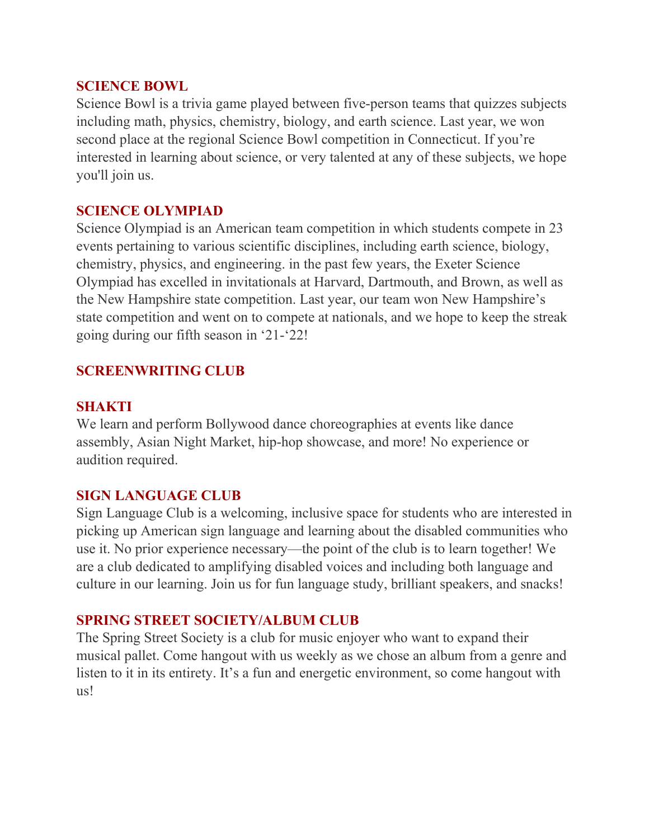#### **SCIENCE BOWL**

Science Bowl is a trivia game played between five-person teams that quizzes subjects including math, physics, chemistry, biology, and earth science. Last year, we won second place at the regional Science Bowl competition in Connecticut. If you're interested in learning about science, or very talented at any of these subjects, we hope you'll join us.

#### **SCIENCE OLYMPIAD**

Science Olympiad is an American team competition in which students compete in 23 events pertaining to various scientific disciplines, including earth science, biology, chemistry, physics, and engineering. in the past few years, the Exeter Science Olympiad has excelled in invitationals at Harvard, Dartmouth, and Brown, as well as the New Hampshire state competition. Last year, our team won New Hampshire's state competition and went on to compete at nationals, and we hope to keep the streak going during our fifth season in '21-'22!

## **SCREENWRITING CLUB**

#### **SHAKTI**

We learn and perform Bollywood dance choreographies at events like dance assembly, Asian Night Market, hip-hop showcase, and more! No experience or audition required.

## **SIGN LANGUAGE CLUB**

Sign Language Club is a welcoming, inclusive space for students who are interested in picking up American sign language and learning about the disabled communities who use it. No prior experience necessary—the point of the club is to learn together! We are a club dedicated to amplifying disabled voices and including both language and culture in our learning. Join us for fun language study, brilliant speakers, and snacks!

## **SPRING STREET SOCIETY/ALBUM CLUB**

The Spring Street Society is a club for music enjoyer who want to expand their musical pallet. Come hangout with us weekly as we chose an album from a genre and listen to it in its entirety. It's a fun and energetic environment, so come hangout with us!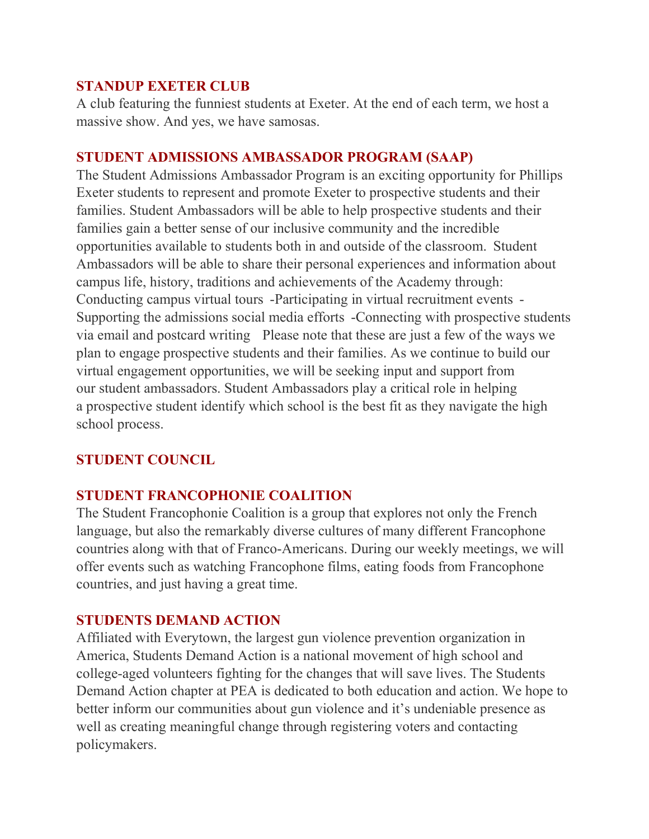#### **STANDUP EXETER CLUB**

A club featuring the funniest students at Exeter. At the end of each term, we host a massive show. And yes, we have samosas. 

#### **STUDENT ADMISSIONS AMBASSADOR PROGRAM (SAAP)**

The Student Admissions Ambassador Program is an exciting opportunity for Phillips Exeter students to represent and promote Exeter to prospective students and their families. Student Ambassadors will be able to help prospective students and their families gain a better sense of our inclusive community and the incredible opportunities available to students both in and outside of the classroom.  Student Ambassadors will be able to share their personal experiences and information about campus life, history, traditions and achievements of the Academy through:    Conducting campus virtual tours  -Participating in virtual recruitment events  - Supporting the admissions social media efforts  -Connecting with prospective students via email and postcard writing    Please note that these are just a few of the ways we plan to engage prospective students and their families. As we continue to build our virtual engagement opportunities, we will be seeking input and support from our student ambassadors. Student Ambassadors play a critical role in helping a prospective student identify which school is the best fit as they navigate the high school process.

# **STUDENT COUNCIL**

## **STUDENT FRANCOPHONIE COALITION**

The Student Francophonie Coalition is a group that explores not only the French language, but also the remarkably diverse cultures of many different Francophone countries along with that of Franco-Americans. During our weekly meetings, we will offer events such as watching Francophone films, eating foods from Francophone countries, and just having a great time.

## **STUDENTS DEMAND ACTION**

Affiliated with Everytown, the largest gun violence prevention organization in America, Students Demand Action is a national movement of high school and college-aged volunteers fighting for the changes that will save lives. The Students Demand Action chapter at PEA is dedicated to both education and action. We hope to better inform our communities about gun violence and it's undeniable presence as well as creating meaningful change through registering voters and contacting policymakers.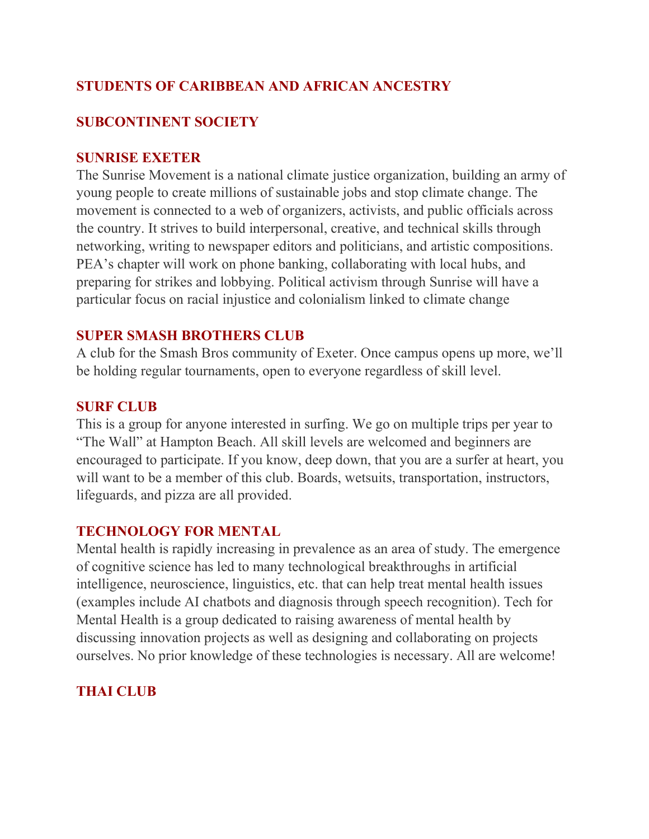# **STUDENTS OF CARIBBEAN AND AFRICAN ANCESTRY**

# **SUBCONTINENT SOCIETY**

#### **SUNRISE EXETER**

The Sunrise Movement is a national climate justice organization, building an army of young people to create millions of sustainable jobs and stop climate change. The movement is connected to a web of organizers, activists, and public officials across the country. It strives to build interpersonal, creative, and technical skills through networking, writing to newspaper editors and politicians, and artistic compositions. PEA's chapter will work on phone banking, collaborating with local hubs, and preparing for strikes and lobbying. Political activism through Sunrise will have a particular focus on racial injustice and colonialism linked to climate change

#### **SUPER SMASH BROTHERS CLUB**

A club for the Smash Bros community of Exeter. Once campus opens up more, we'll be holding regular tournaments, open to everyone regardless of skill level.

#### **SURF CLUB**

This is a group for anyone interested in surfing. We go on multiple trips per year to "The Wall" at Hampton Beach. All skill levels are welcomed and beginners are encouraged to participate. If you know, deep down, that you are a surfer at heart, you will want to be a member of this club. Boards, wetsuits, transportation, instructors, lifeguards, and pizza are all provided.

#### **TECHNOLOGY FOR MENTAL**

Mental health is rapidly increasing in prevalence as an area of study. The emergence of cognitive science has led to many technological breakthroughs in artificial intelligence, neuroscience, linguistics, etc. that can help treat mental health issues (examples include AI chatbots and diagnosis through speech recognition). Tech for Mental Health is a group dedicated to raising awareness of mental health by discussing innovation projects as well as designing and collaborating on projects ourselves. No prior knowledge of these technologies is necessary. All are welcome!

## **THAI CLUB**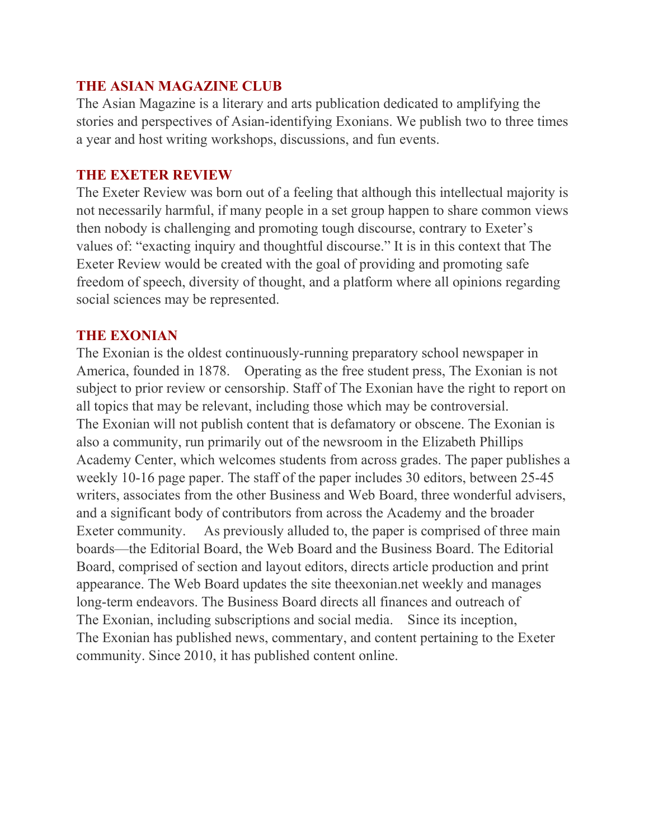## **THE ASIAN MAGAZINE CLUB**

The Asian Magazine is a literary and arts publication dedicated to amplifying the stories and perspectives of Asian-identifying Exonians. We publish two to three times a year and host writing workshops, discussions, and fun events.

#### **THE EXETER REVIEW**

The Exeter Review was born out of a feeling that although this intellectual majority is not necessarily harmful, if many people in a set group happen to share common views then nobody is challenging and promoting tough discourse, contrary to Exeter's values of: "exacting inquiry and thoughtful discourse." It is in this context that The Exeter Review would be created with the goal of providing and promoting safe freedom of speech, diversity of thought, and a platform where all opinions regarding social sciences may be represented.

#### **THE EXONIAN**

The Exonian is the oldest continuously-running preparatory school newspaper in America, founded in 1878. Operating as the free student press, The Exonian is not subject to prior review or censorship. Staff of The Exonian have the right to report on all topics that may be relevant, including those which may be controversial. The Exonian will not publish content that is defamatory or obscene. The Exonian is also a community, run primarily out of the newsroom in the Elizabeth Phillips Academy Center, which welcomes students from across grades. The paper publishes a weekly 10-16 page paper. The staff of the paper includes 30 editors, between 25-45 writers, associates from the other Business and Web Board, three wonderful advisers, and a significant body of contributors from across the Academy and the broader Exeter community. As previously alluded to, the paper is comprised of three main boards—the Editorial Board, the Web Board and the Business Board. The Editorial Board, comprised of section and layout editors, directs article production and print appearance. The Web Board updates the site theexonian.net weekly and manages long-term endeavors. The Business Board directs all finances and outreach of The Exonian, including subscriptions and social media. Since its inception, The Exonian has published news, commentary, and content pertaining to the Exeter community. Since 2010, it has published content online.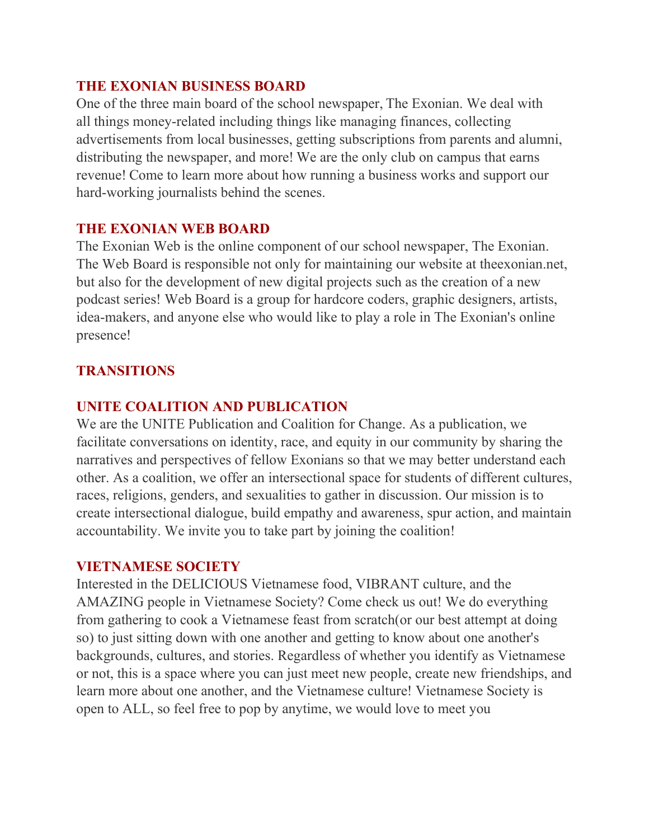#### **THE EXONIAN BUSINESS BOARD**

One of the three main board of the school newspaper, The Exonian. We deal with all things money-related including things like managing finances, collecting advertisements from local businesses, getting subscriptions from parents and alumni, distributing the newspaper, and more! We are the only club on campus that earns revenue! Come to learn more about how running a business works and support our hard-working journalists behind the scenes.

#### **THE EXONIAN WEB BOARD**

The Exonian Web is the online component of our school newspaper, The Exonian. The Web Board is responsible not only for maintaining our website at theexonian.net, but also for the development of new digital projects such as the creation of a new podcast series! Web Board is a group for hardcore coders, graphic designers, artists, idea-makers, and anyone else who would like to play a role in The Exonian's online presence!

# **TRANSITIONS**

## **UNITE COALITION AND PUBLICATION**

We are the UNITE Publication and Coalition for Change. As a publication, we facilitate conversations on identity, race, and equity in our community by sharing the narratives and perspectives of fellow Exonians so that we may better understand each other. As a coalition, we offer an intersectional space for students of different cultures, races, religions, genders, and sexualities to gather in discussion. Our mission is to create intersectional dialogue, build empathy and awareness, spur action, and maintain accountability. We invite you to take part by joining the coalition!

#### **VIETNAMESE SOCIETY**

Interested in the DELICIOUS Vietnamese food, VIBRANT culture, and the AMAZING people in Vietnamese Society? Come check us out! We do everything from gathering to cook a Vietnamese feast from scratch(or our best attempt at doing so) to just sitting down with one another and getting to know about one another's backgrounds, cultures, and stories. Regardless of whether you identify as Vietnamese or not, this is a space where you can just meet new people, create new friendships, and learn more about one another, and the Vietnamese culture! Vietnamese Society is open to ALL, so feel free to pop by anytime, we would love to meet you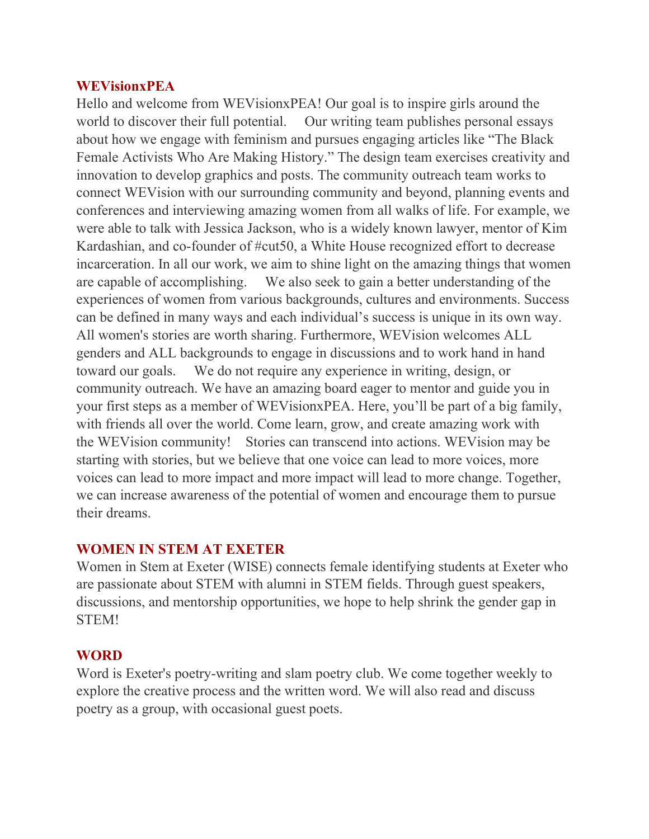#### **WEVisionxPEA**

Hello and welcome from WEVisionxPEA! Our goal is to inspire girls around the world to discover their full potential. Our writing team publishes personal essays about how we engage with feminism and pursues engaging articles like "The Black Female Activists Who Are Making History." The design team exercises creativity and innovation to develop graphics and posts. The community outreach team works to connect WEVision with our surrounding community and beyond, planning events and conferences and interviewing amazing women from all walks of life. For example, we were able to talk with Jessica Jackson, who is a widely known lawyer, mentor of Kim Kardashian, and co-founder of #cut50, a White House recognized effort to decrease incarceration. In all our work, we aim to shine light on the amazing things that women are capable of accomplishing. We also seek to gain a better understanding of the experiences of women from various backgrounds, cultures and environments. Success can be defined in many ways and each individual's success is unique in its own way. All women's stories are worth sharing. Furthermore, WEVision welcomes ALL genders and ALL backgrounds to engage in discussions and to work hand in hand toward our goals. We do not require any experience in writing, design, or community outreach. We have an amazing board eager to mentor and guide you in your first steps as a member of WEVisionxPEA. Here, you'll be part of a big family, with friends all over the world. Come learn, grow, and create amazing work with the WEVision community! Stories can transcend into actions. WEVision may be starting with stories, but we believe that one voice can lead to more voices, more voices can lead to more impact and more impact will lead to more change. Together, we can increase awareness of the potential of women and encourage them to pursue their dreams.

#### **WOMEN IN STEM AT EXETER**

Women in Stem at Exeter (WISE) connects female identifying students at Exeter who are passionate about STEM with alumni in STEM fields. Through guest speakers, discussions, and mentorship opportunities, we hope to help shrink the gender gap in STEM!

#### **WORD**

Word is Exeter's poetry-writing and slam poetry club. We come together weekly to explore the creative process and the written word. We will also read and discuss poetry as a group, with occasional guest poets.